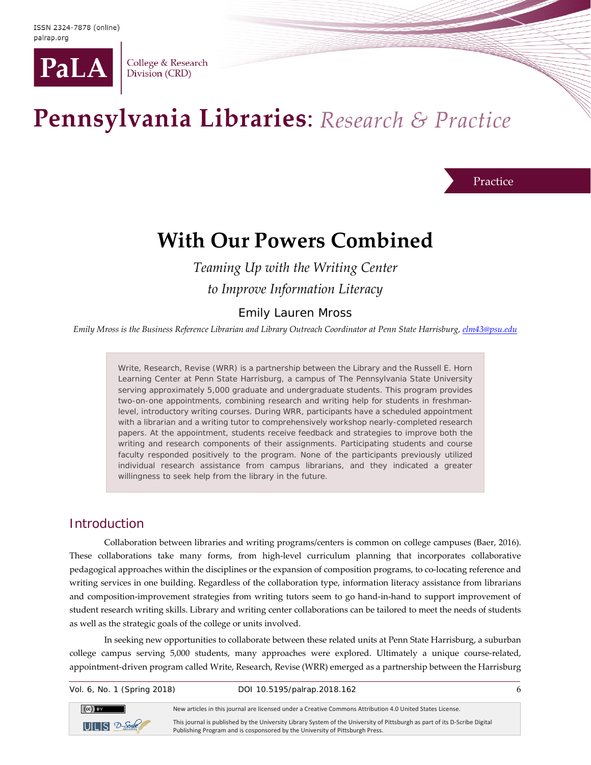

College & Research Division (CRD)

# Pennsylvania Libraries: Research & Practice

Practice

## **With Our Powers Combined**

*Teaming Up with the Writing Center to Improve Information Literacy*

#### Emily Lauren Mross

*Emily Mross is the Business Reference Librarian and Library Outreach Coordinator at Penn State Harrisburg[, elm43@psu.edu](mailto:elm43@psu.edu)*

Write, Research, Revise (WRR) is a partnership between the Library and the Russell E. Horn Learning Center at Penn State Harrisburg, a campus of The Pennsylvania State University serving approximately 5,000 graduate and undergraduate students. This program provides two-on-one appointments, combining research and writing help for students in freshmanlevel, introductory writing courses. During WRR, participants have a scheduled appointment with a librarian and a writing tutor to comprehensively workshop nearly-completed research papers. At the appointment, students receive feedback and strategies to improve both the writing and research components of their assignments. Participating students and course faculty responded positively to the program. None of the participants previously utilized individual research assistance from campus librarians, and they indicated a greater willingness to seek help from the library in the future.

#### Introduction

Collaboration between libraries and writing programs/centers is common on college campuses (Baer, 2016). These collaborations take many forms, from high-level curriculum planning that incorporates collaborative pedagogical approaches within the disciplines or the expansion of composition programs, to co-locating reference and writing services in one building. Regardless of the collaboration type, information literacy assistance from librarians and composition-improvement strategies from writing tutors seem to go hand-in-hand to support improvement of student research writing skills. Library and writing center collaborations can be tailored to meet the needs of students as well as the strategic goals of the college or units involved.

In seeking new opportunities to collaborate between these related units at Penn State Harrisburg, a suburban college campus serving 5,000 students, many approaches were explored. Ultimately a unique course-related, appointment-driven program called Write, Research, Revise (WRR) emerged as a partnership between the Harrisburg

 $(Cc)$  BY

Vol. 6, No. 1 (Spring 2018) DOI 10.5195/palrap.2018.162 6

New articles in this journal are licensed under a Creative Commons Attribution 4.0 United States License.

 $ULI S 2$ -Scribt

This journal is published by the University Library System of the University of Pittsburgh as part of its D-Scribe Digital Publishing Program and is cosponsored by the University of Pittsburgh Press.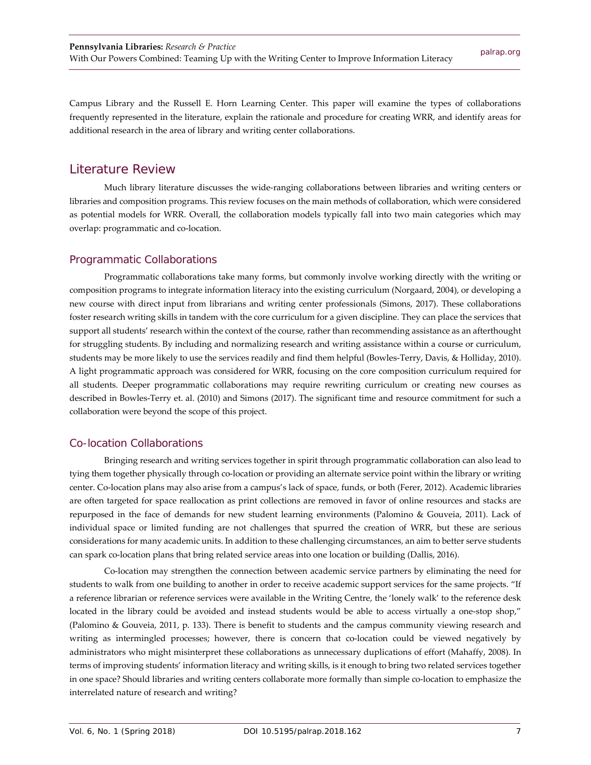Campus Library and the Russell E. Horn Learning Center. This paper will examine the types of collaborations frequently represented in the literature, explain the rationale and procedure for creating WRR, and identify areas for additional research in the area of library and writing center collaborations.

#### Literature Review

Much library literature discusses the wide-ranging collaborations between libraries and writing centers or libraries and composition programs. This review focuses on the main methods of collaboration, which were considered as potential models for WRR. Overall, the collaboration models typically fall into two main categories which may overlap: programmatic and co-location.

#### Programmatic Collaborations

Programmatic collaborations take many forms, but commonly involve working directly with the writing or composition programs to integrate information literacy into the existing curriculum (Norgaard, 2004), or developing a new course with direct input from librarians and writing center professionals (Simons, 2017). These collaborations foster research writing skills in tandem with the core curriculum for a given discipline. They can place the services that support all students' research within the context of the course, rather than recommending assistance as an afterthought for struggling students. By including and normalizing research and writing assistance within a course or curriculum, students may be more likely to use the services readily and find them helpful (Bowles-Terry, Davis, & Holliday, 2010). A light programmatic approach was considered for WRR, focusing on the core composition curriculum required for all students. Deeper programmatic collaborations may require rewriting curriculum or creating new courses as described in Bowles-Terry et. al. (2010) and Simons (2017). The significant time and resource commitment for such a collaboration were beyond the scope of this project.

#### Co-location Collaborations

Bringing research and writing services together in spirit through programmatic collaboration can also lead to tying them together physically through co-location or providing an alternate service point within the library or writing center. Co-location plans may also arise from a campus's lack of space, funds, or both (Ferer, 2012). Academic libraries are often targeted for space reallocation as print collections are removed in favor of online resources and stacks are repurposed in the face of demands for new student learning environments (Palomino & Gouveia, 2011). Lack of individual space or limited funding are not challenges that spurred the creation of WRR, but these are serious considerations for many academic units. In addition to these challenging circumstances, an aim to better serve students can spark co-location plans that bring related service areas into one location or building (Dallis, 2016).

Co-location may strengthen the connection between academic service partners by eliminating the need for students to walk from one building to another in order to receive academic support services for the same projects. "If a reference librarian or reference services were available in the Writing Centre, the 'lonely walk' to the reference desk located in the library could be avoided and instead students would be able to access virtually a one-stop shop," (Palomino & Gouveia, 2011, p. 133). There is benefit to students and the campus community viewing research and writing as intermingled processes; however, there is concern that co-location could be viewed negatively by administrators who might misinterpret these collaborations as unnecessary duplications of effort (Mahaffy, 2008). In terms of improving students' information literacy and writing skills, is it enough to bring two related services together in one space? Should libraries and writing centers collaborate more formally than simple co-location to emphasize the interrelated nature of research and writing?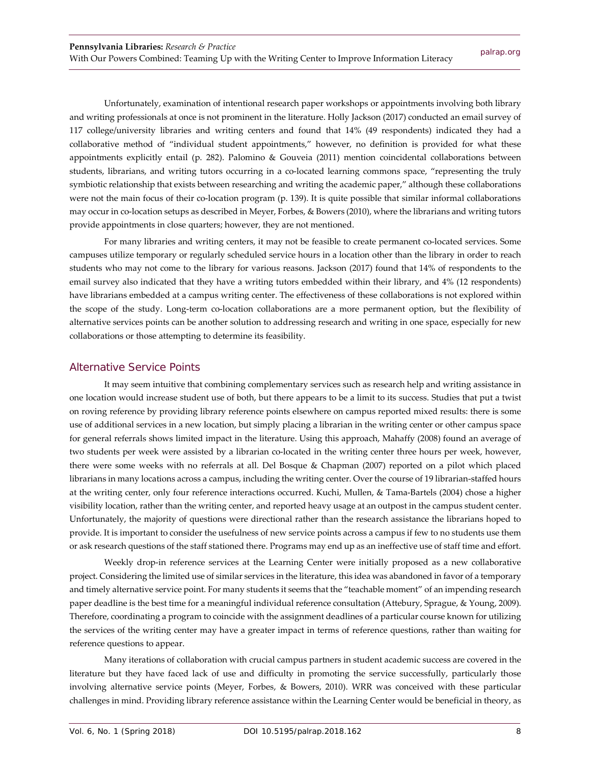Unfortunately, examination of intentional research paper workshops or appointments involving both library and writing professionals at once is not prominent in the literature. Holly Jackson (2017) conducted an email survey of 117 college/university libraries and writing centers and found that 14% (49 respondents) indicated they had a collaborative method of "individual student appointments," however, no definition is provided for what these appointments explicitly entail (p. 282). Palomino & Gouveia (2011) mention coincidental collaborations between students, librarians, and writing tutors occurring in a co-located learning commons space, "representing the truly symbiotic relationship that exists between researching and writing the academic paper," although these collaborations were not the main focus of their co-location program (p. 139). It is quite possible that similar informal collaborations may occur in co-location setups as described in Meyer, Forbes, & Bowers (2010), where the librarians and writing tutors provide appointments in close quarters; however, they are not mentioned.

For many libraries and writing centers, it may not be feasible to create permanent co-located services. Some campuses utilize temporary or regularly scheduled service hours in a location other than the library in order to reach students who may not come to the library for various reasons. Jackson (2017) found that 14% of respondents to the email survey also indicated that they have a writing tutors embedded within their library, and 4% (12 respondents) have librarians embedded at a campus writing center. The effectiveness of these collaborations is not explored within the scope of the study. Long-term co-location collaborations are a more permanent option, but the flexibility of alternative services points can be another solution to addressing research and writing in one space, especially for new collaborations or those attempting to determine its feasibility.

#### Alternative Service Points

It may seem intuitive that combining complementary services such as research help and writing assistance in one location would increase student use of both, but there appears to be a limit to its success. Studies that put a twist on roving reference by providing library reference points elsewhere on campus reported mixed results: there is some use of additional services in a new location, but simply placing a librarian in the writing center or other campus space for general referrals shows limited impact in the literature. Using this approach, Mahaffy (2008) found an average of two students per week were assisted by a librarian co-located in the writing center three hours per week, however, there were some weeks with no referrals at all. Del Bosque & Chapman (2007) reported on a pilot which placed librarians in many locations across a campus, including the writing center. Over the course of 19 librarian-staffed hours at the writing center, only four reference interactions occurred. Kuchi, Mullen, & Tama-Bartels (2004) chose a higher visibility location, rather than the writing center, and reported heavy usage at an outpost in the campus student center. Unfortunately, the majority of questions were directional rather than the research assistance the librarians hoped to provide. It is important to consider the usefulness of new service points across a campus if few to no students use them or ask research questions of the staff stationed there. Programs may end up as an ineffective use of staff time and effort.

Weekly drop-in reference services at the Learning Center were initially proposed as a new collaborative project. Considering the limited use of similar services in the literature, this idea was abandoned in favor of a temporary and timely alternative service point. For many students it seems that the "teachable moment" of an impending research paper deadline is the best time for a meaningful individual reference consultation (Attebury, Sprague, & Young, 2009). Therefore, coordinating a program to coincide with the assignment deadlines of a particular course known for utilizing the services of the writing center may have a greater impact in terms of reference questions, rather than waiting for reference questions to appear.

Many iterations of collaboration with crucial campus partners in student academic success are covered in the literature but they have faced lack of use and difficulty in promoting the service successfully, particularly those involving alternative service points (Meyer, Forbes, & Bowers, 2010). WRR was conceived with these particular challenges in mind. Providing library reference assistance within the Learning Center would be beneficial in theory, as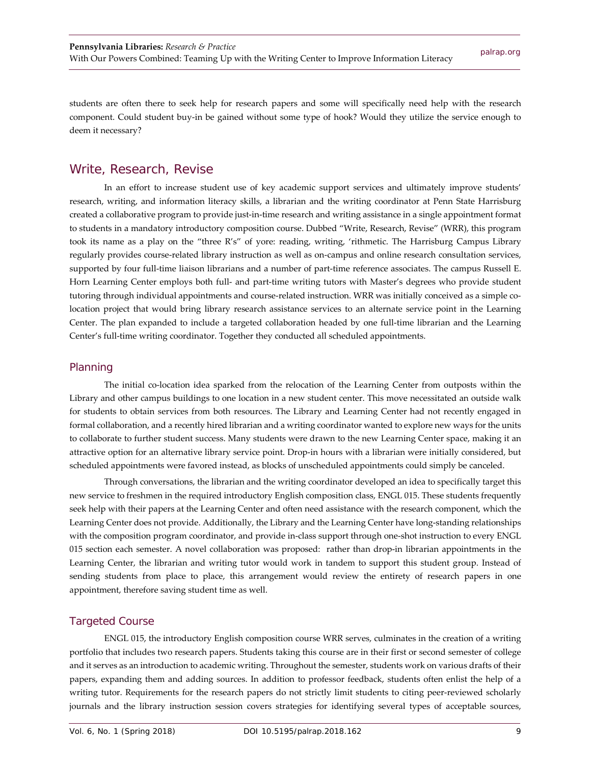students are often there to seek help for research papers and some will specifically need help with the research component. Could student buy-in be gained without some type of hook? Would they utilize the service enough to deem it necessary?

#### Write, Research, Revise

In an effort to increase student use of key academic support services and ultimately improve students' research, writing, and information literacy skills, a librarian and the writing coordinator at Penn State Harrisburg created a collaborative program to provide just-in-time research and writing assistance in a single appointment format to students in a mandatory introductory composition course. Dubbed "Write, Research, Revise" (WRR), this program took its name as a play on the "three R's" of yore: reading, writing, 'rithmetic. The Harrisburg Campus Library regularly provides course-related library instruction as well as on-campus and online research consultation services, supported by four full-time liaison librarians and a number of part-time reference associates. The campus Russell E. Horn Learning Center employs both full- and part-time writing tutors with Master's degrees who provide student tutoring through individual appointments and course-related instruction. WRR was initially conceived as a simple colocation project that would bring library research assistance services to an alternate service point in the Learning Center. The plan expanded to include a targeted collaboration headed by one full-time librarian and the Learning Center's full-time writing coordinator. Together they conducted all scheduled appointments.

#### Planning

The initial co-location idea sparked from the relocation of the Learning Center from outposts within the Library and other campus buildings to one location in a new student center. This move necessitated an outside walk for students to obtain services from both resources. The Library and Learning Center had not recently engaged in formal collaboration, and a recently hired librarian and a writing coordinator wanted to explore new ways for the units to collaborate to further student success. Many students were drawn to the new Learning Center space, making it an attractive option for an alternative library service point. Drop-in hours with a librarian were initially considered, but scheduled appointments were favored instead, as blocks of unscheduled appointments could simply be canceled.

Through conversations, the librarian and the writing coordinator developed an idea to specifically target this new service to freshmen in the required introductory English composition class, ENGL 015. These students frequently seek help with their papers at the Learning Center and often need assistance with the research component, which the Learning Center does not provide. Additionally, the Library and the Learning Center have long-standing relationships with the composition program coordinator, and provide in-class support through one-shot instruction to every ENGL 015 section each semester. A novel collaboration was proposed: rather than drop-in librarian appointments in the Learning Center, the librarian and writing tutor would work in tandem to support this student group. Instead of sending students from place to place, this arrangement would review the entirety of research papers in one appointment, therefore saving student time as well.

#### Targeted Course

ENGL 015, the introductory English composition course WRR serves, culminates in the creation of a writing portfolio that includes two research papers. Students taking this course are in their first or second semester of college and it serves as an introduction to academic writing. Throughout the semester, students work on various drafts of their papers, expanding them and adding sources. In addition to professor feedback, students often enlist the help of a writing tutor. Requirements for the research papers do not strictly limit students to citing peer-reviewed scholarly journals and the library instruction session covers strategies for identifying several types of acceptable sources,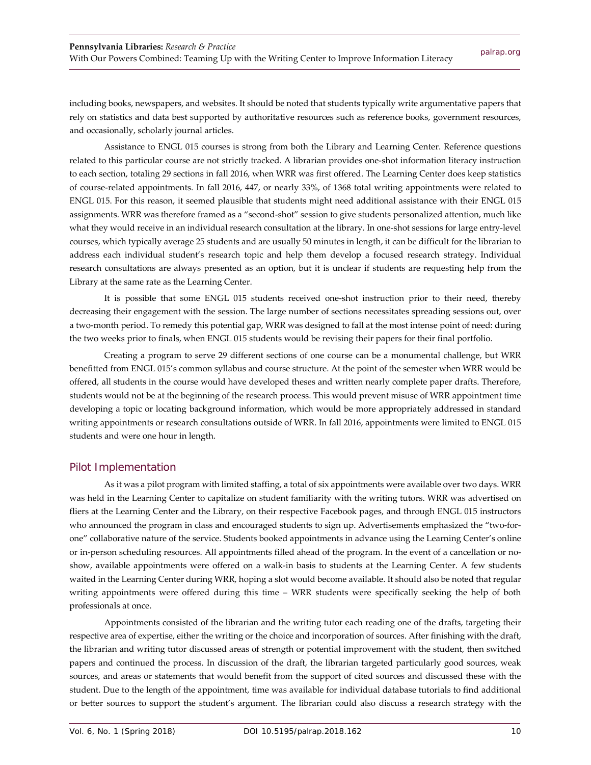including books, newspapers, and websites. It should be noted that students typically write argumentative papers that rely on statistics and data best supported by authoritative resources such as reference books, government resources, and occasionally, scholarly journal articles.

Assistance to ENGL 015 courses is strong from both the Library and Learning Center. Reference questions related to this particular course are not strictly tracked. A librarian provides one-shot information literacy instruction to each section, totaling 29 sections in fall 2016, when WRR was first offered. The Learning Center does keep statistics of course-related appointments. In fall 2016, 447, or nearly 33%, of 1368 total writing appointments were related to ENGL 015. For this reason, it seemed plausible that students might need additional assistance with their ENGL 015 assignments. WRR was therefore framed as a "second-shot" session to give students personalized attention, much like what they would receive in an individual research consultation at the library. In one-shot sessions for large entry-level courses, which typically average 25 students and are usually 50 minutes in length, it can be difficult for the librarian to address each individual student's research topic and help them develop a focused research strategy. Individual research consultations are always presented as an option, but it is unclear if students are requesting help from the Library at the same rate as the Learning Center.

It is possible that some ENGL 015 students received one-shot instruction prior to their need, thereby decreasing their engagement with the session. The large number of sections necessitates spreading sessions out, over a two-month period. To remedy this potential gap, WRR was designed to fall at the most intense point of need: during the two weeks prior to finals, when ENGL 015 students would be revising their papers for their final portfolio.

Creating a program to serve 29 different sections of one course can be a monumental challenge, but WRR benefitted from ENGL 015's common syllabus and course structure. At the point of the semester when WRR would be offered, all students in the course would have developed theses and written nearly complete paper drafts. Therefore, students would not be at the beginning of the research process. This would prevent misuse of WRR appointment time developing a topic or locating background information, which would be more appropriately addressed in standard writing appointments or research consultations outside of WRR. In fall 2016, appointments were limited to ENGL 015 students and were one hour in length.

#### Pilot Implementation

As it was a pilot program with limited staffing, a total of six appointments were available over two days. WRR was held in the Learning Center to capitalize on student familiarity with the writing tutors. WRR was advertised on fliers at the Learning Center and the Library, on their respective Facebook pages, and through ENGL 015 instructors who announced the program in class and encouraged students to sign up. Advertisements emphasized the "two-forone" collaborative nature of the service. Students booked appointments in advance using the Learning Center's online or in-person scheduling resources. All appointments filled ahead of the program. In the event of a cancellation or noshow, available appointments were offered on a walk-in basis to students at the Learning Center. A few students waited in the Learning Center during WRR, hoping a slot would become available. It should also be noted that regular writing appointments were offered during this time – WRR students were specifically seeking the help of both professionals at once.

Appointments consisted of the librarian and the writing tutor each reading one of the drafts, targeting their respective area of expertise, either the writing or the choice and incorporation of sources. After finishing with the draft, the librarian and writing tutor discussed areas of strength or potential improvement with the student, then switched papers and continued the process. In discussion of the draft, the librarian targeted particularly good sources, weak sources, and areas or statements that would benefit from the support of cited sources and discussed these with the student. Due to the length of the appointment, time was available for individual database tutorials to find additional or better sources to support the student's argument. The librarian could also discuss a research strategy with the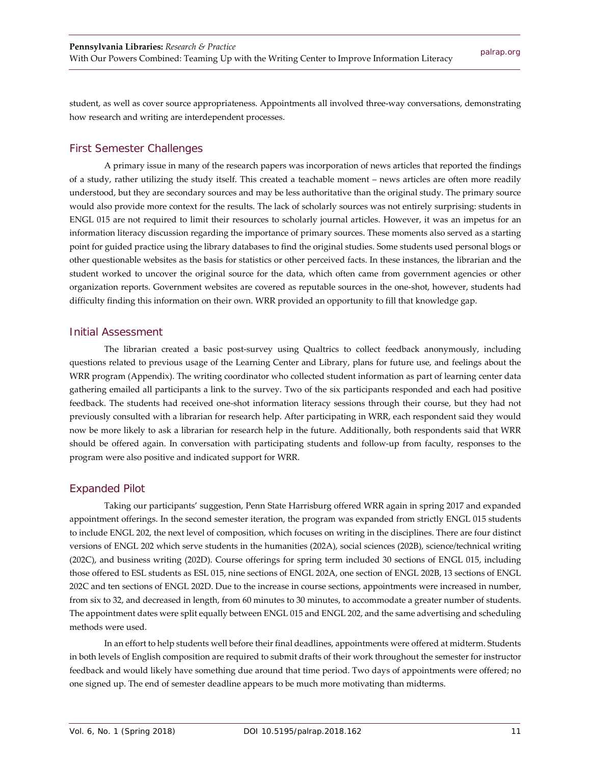student, as well as cover source appropriateness. Appointments all involved three-way conversations, demonstrating how research and writing are interdependent processes.

#### First Semester Challenges

A primary issue in many of the research papers was incorporation of news articles that reported the findings of a study, rather utilizing the study itself. This created a teachable moment – news articles are often more readily understood, but they are secondary sources and may be less authoritative than the original study. The primary source would also provide more context for the results. The lack of scholarly sources was not entirely surprising: students in ENGL 015 are not required to limit their resources to scholarly journal articles. However, it was an impetus for an information literacy discussion regarding the importance of primary sources. These moments also served as a starting point for guided practice using the library databases to find the original studies. Some students used personal blogs or other questionable websites as the basis for statistics or other perceived facts. In these instances, the librarian and the student worked to uncover the original source for the data, which often came from government agencies or other organization reports. Government websites are covered as reputable sources in the one-shot, however, students had difficulty finding this information on their own. WRR provided an opportunity to fill that knowledge gap.

#### Initial Assessment

The librarian created a basic post-survey using Qualtrics to collect feedback anonymously, including questions related to previous usage of the Learning Center and Library, plans for future use, and feelings about the WRR program (Appendix). The writing coordinator who collected student information as part of learning center data gathering emailed all participants a link to the survey. Two of the six participants responded and each had positive feedback. The students had received one-shot information literacy sessions through their course, but they had not previously consulted with a librarian for research help. After participating in WRR, each respondent said they would now be more likely to ask a librarian for research help in the future. Additionally, both respondents said that WRR should be offered again. In conversation with participating students and follow-up from faculty, responses to the program were also positive and indicated support for WRR.

#### Expanded Pilot

Taking our participants' suggestion, Penn State Harrisburg offered WRR again in spring 2017 and expanded appointment offerings. In the second semester iteration, the program was expanded from strictly ENGL 015 students to include ENGL 202, the next level of composition, which focuses on writing in the disciplines. There are four distinct versions of ENGL 202 which serve students in the humanities (202A), social sciences (202B), science/technical writing (202C), and business writing (202D). Course offerings for spring term included 30 sections of ENGL 015, including those offered to ESL students as ESL 015, nine sections of ENGL 202A, one section of ENGL 202B, 13 sections of ENGL 202C and ten sections of ENGL 202D. Due to the increase in course sections, appointments were increased in number, from six to 32, and decreased in length, from 60 minutes to 30 minutes, to accommodate a greater number of students. The appointment dates were split equally between ENGL 015 and ENGL 202, and the same advertising and scheduling methods were used.

In an effort to help students well before their final deadlines, appointments were offered at midterm. Students in both levels of English composition are required to submit drafts of their work throughout the semester for instructor feedback and would likely have something due around that time period. Two days of appointments were offered; no one signed up. The end of semester deadline appears to be much more motivating than midterms.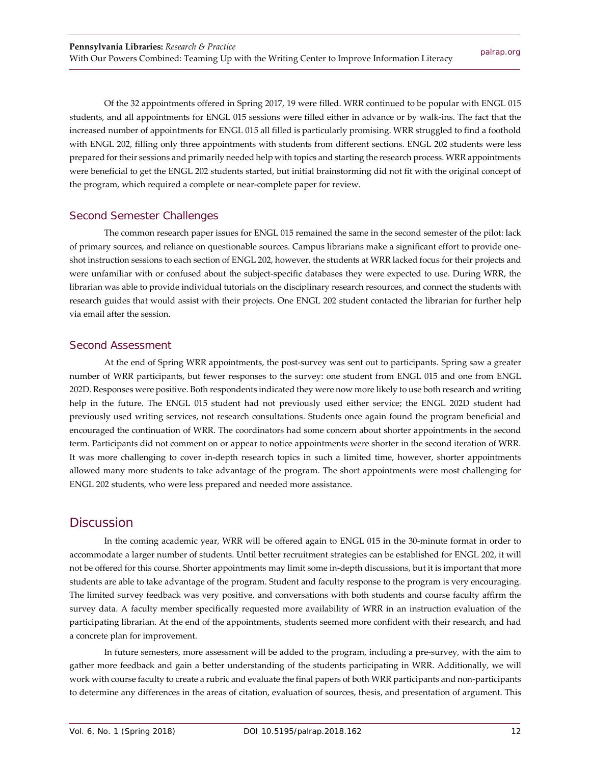Of the 32 appointments offered in Spring 2017, 19 were filled. WRR continued to be popular with ENGL 015 students, and all appointments for ENGL 015 sessions were filled either in advance or by walk-ins. The fact that the increased number of appointments for ENGL 015 all filled is particularly promising. WRR struggled to find a foothold with ENGL 202, filling only three appointments with students from different sections. ENGL 202 students were less prepared for their sessions and primarily needed help with topics and starting the research process. WRR appointments were beneficial to get the ENGL 202 students started, but initial brainstorming did not fit with the original concept of the program, which required a complete or near-complete paper for review.

#### Second Semester Challenges

The common research paper issues for ENGL 015 remained the same in the second semester of the pilot: lack of primary sources, and reliance on questionable sources. Campus librarians make a significant effort to provide oneshot instruction sessions to each section of ENGL 202, however, the students at WRR lacked focus for their projects and were unfamiliar with or confused about the subject-specific databases they were expected to use. During WRR, the librarian was able to provide individual tutorials on the disciplinary research resources, and connect the students with research guides that would assist with their projects. One ENGL 202 student contacted the librarian for further help via email after the session.

#### Second Assessment

At the end of Spring WRR appointments, the post-survey was sent out to participants. Spring saw a greater number of WRR participants, but fewer responses to the survey: one student from ENGL 015 and one from ENGL 202D. Responses were positive. Both respondents indicated they were now more likely to use both research and writing help in the future. The ENGL 015 student had not previously used either service; the ENGL 202D student had previously used writing services, not research consultations. Students once again found the program beneficial and encouraged the continuation of WRR. The coordinators had some concern about shorter appointments in the second term. Participants did not comment on or appear to notice appointments were shorter in the second iteration of WRR. It was more challenging to cover in-depth research topics in such a limited time, however, shorter appointments allowed many more students to take advantage of the program. The short appointments were most challenging for ENGL 202 students, who were less prepared and needed more assistance.

#### **Discussion**

In the coming academic year, WRR will be offered again to ENGL 015 in the 30-minute format in order to accommodate a larger number of students. Until better recruitment strategies can be established for ENGL 202, it will not be offered for this course. Shorter appointments may limit some in-depth discussions, but it is important that more students are able to take advantage of the program. Student and faculty response to the program is very encouraging. The limited survey feedback was very positive, and conversations with both students and course faculty affirm the survey data. A faculty member specifically requested more availability of WRR in an instruction evaluation of the participating librarian. At the end of the appointments, students seemed more confident with their research, and had a concrete plan for improvement.

In future semesters, more assessment will be added to the program, including a pre-survey, with the aim to gather more feedback and gain a better understanding of the students participating in WRR. Additionally, we will work with course faculty to create a rubric and evaluate the final papers of both WRR participants and non-participants to determine any differences in the areas of citation, evaluation of sources, thesis, and presentation of argument. This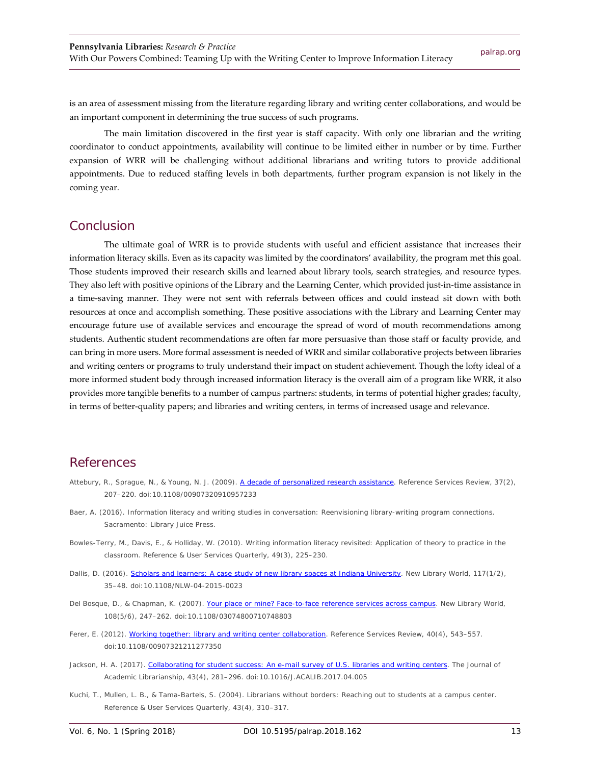is an area of assessment missing from the literature regarding library and writing center collaborations, and would be an important component in determining the true success of such programs.

The main limitation discovered in the first year is staff capacity. With only one librarian and the writing coordinator to conduct appointments, availability will continue to be limited either in number or by time. Further expansion of WRR will be challenging without additional librarians and writing tutors to provide additional appointments. Due to reduced staffing levels in both departments, further program expansion is not likely in the coming year.

#### Conclusion

The ultimate goal of WRR is to provide students with useful and efficient assistance that increases their information literacy skills. Even as its capacity was limited by the coordinators' availability, the program met this goal. Those students improved their research skills and learned about library tools, search strategies, and resource types. They also left with positive opinions of the Library and the Learning Center, which provided just-in-time assistance in a time-saving manner. They were not sent with referrals between offices and could instead sit down with both resources at once and accomplish something. These positive associations with the Library and Learning Center may encourage future use of available services and encourage the spread of word of mouth recommendations among students. Authentic student recommendations are often far more persuasive than those staff or faculty provide, and can bring in more users. More formal assessment is needed of WRR and similar collaborative projects between libraries and writing centers or programs to truly understand their impact on student achievement. Though the lofty ideal of a more informed student body through increased information literacy is the overall aim of a program like WRR, it also provides more tangible benefits to a number of campus partners: students, in terms of potential higher grades; faculty, in terms of better-quality papers; and libraries and writing centers, in terms of increased usage and relevance.

#### **References**

- Attebury, R., Sprague, N., & Young, N. J. (2009). [A decade of personalized research assistance.](https://doi.org/10.1108/00907320910957233) *Reference Services Review, 37*(2), 207–220. doi:10.1108/00907320910957233
- Baer, A. (2016). *Information literacy and writing studies in conversation: Reenvisioning library-writing program connections.* Sacramento: Library Juice Press.
- Bowles-Terry, M., Davis, E., & Holliday, W. (2010). Writing information literacy revisited: Application of theory to practice in the classroom. *Reference & User Services Quarterly, 49*(3), 225–230.
- Dallis, D. (2016). [Scholars and learners: A case study of new library spaces at Indiana University.](https://doi.org/10.1108/NLW-04-2015-0023) *New Library World, 117*(1/2), 35–48. doi:10.1108/NLW-04-2015-0023
- Del Bosque, D., & Chapman, K. (2007). [Your place or mine? Face-to-face reference services across campus.](http://dx.doi.org/10.1108/03074800710748803) *New Library World, 108*(5/6), 247–262. doi:10.1108/03074800710748803
- Ferer, E. (2012). [Working together: library and writing center collaboration.](https://doi.org/10.1108/00907321211277350) *Reference Services Review, 40*(4), 543–557. doi:10.1108/00907321211277350
- Jackson, H. A. (2017)[. Collaborating for student success: An e-mail survey of U.S. libraries and writing centers.](http://doi.org/10.1016/J.ACALIB.2017.04.005) *The Journal of Academic Librarianship, 43*(4), 281–296. doi:10.1016/J.ACALIB.2017.04.005
- Kuchi, T., Mullen, L. B., & Tama-Bartels, S. (2004). Librarians without borders: Reaching out to students at a campus center. *Reference & User Services Quarterly, 43*(4), 310–317.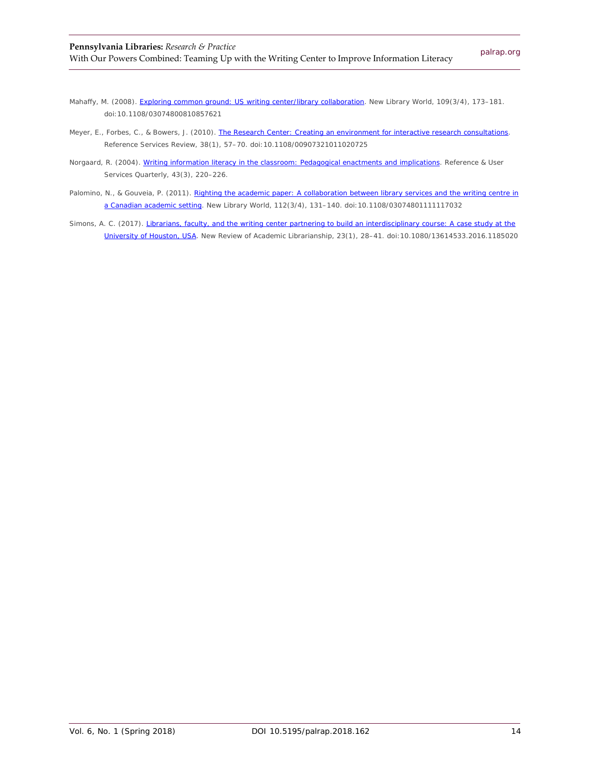- Mahaffy, M. (2008). [Exploring common ground: US writing center/library collaboration.](https://doi.org/10.1108/03074800810857621) *New Library World, 109*(3/4), 173–181. doi:10.1108/03074800810857621
- Meyer, E., Forbes, C., & Bowers, J. (2010)[. The Research Center: Creating an environment for interactive research consultations.](http://dx.doi.org/10.1108/00907321011020725) *Reference Services Review, 38*(1), 57–70. doi:10.1108/00907321011020725
- Norgaard, R. (2004)[. Writing information literacy in the classroom: Pedagogical enactments and implications.](http://www.jstor.org/stable/20864203) *Reference & User Services Quarterly, 43*(3), 220–226.
- Palomino, N., & Gouveia, P. (2011). Righting the academic paper: A collaboration between library services and the writing centre in [a Canadian academic setting.](https://doi.org/10.1108/03074801111117032) *New Library World, 112*(3/4), 131–140. doi:10.1108/03074801111117032
- Simons, A. C. (2017). Librarians, faculty, and the writing center partnering to build an interdisciplinary course: A case study at the [University of Houston, USA.](https://doi.org/10.1080/13614533.2016.1185020) *New Review of Academic Librarianship, 23*(1), 28–41. doi:10.1080/13614533.2016.1185020